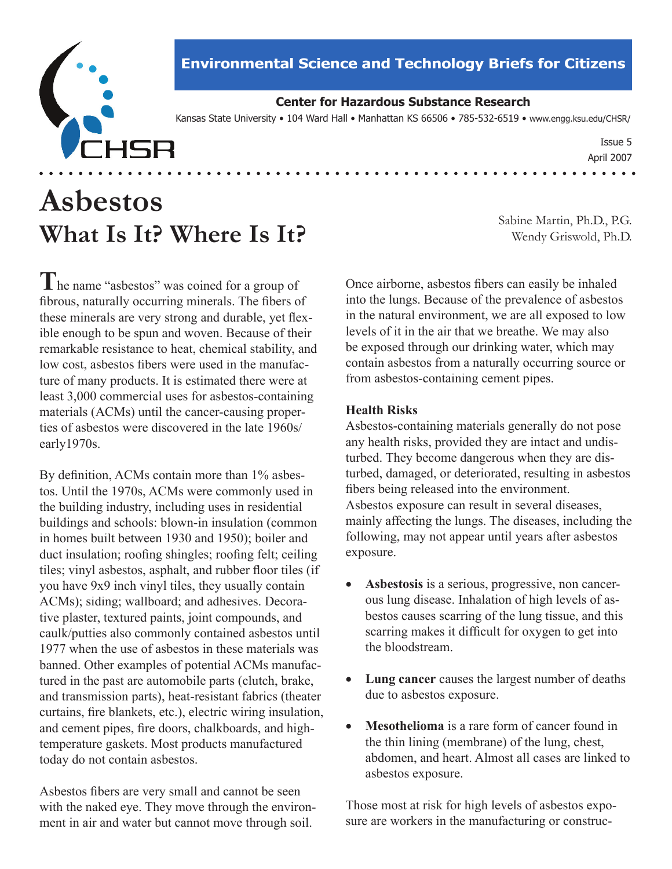

# **Environmental Science and Technology Briefs for Citizens**

**Center for Hazardous Substance Research** Kansas State University • 104 Ward Hall • Manhattan KS 66506 • 785-532-6519 • www.engg.ksu.edu/CHSR/

> Issue 5 April 2007

# **Asbestos What Is It? Where Is It?**

**T**he name "asbestos" was coined for a group of fibrous, naturally occurring minerals. The fibers of these minerals are very strong and durable, yet flexible enough to be spun and woven. Because of their remarkable resistance to heat, chemical stability, and low cost, asbestos fibers were used in the manufacture of many products. It is estimated there were at least 3,000 commercial uses for asbestos-containing materials (ACMs) until the cancer-causing properties of asbestos were discovered in the late 1960s/ early1970s.

By definition, ACMs contain more than 1% asbestos. Until the 1970s, ACMs were commonly used in the building industry, including uses in residential buildings and schools: blown-in insulation (common in homes built between 1930 and 1950); boiler and duct insulation; roofing shingles; roofing felt; ceiling tiles; vinyl asbestos, asphalt, and rubber floor tiles (if you have 9x9 inch vinyl tiles, they usually contain ACMs); siding; wallboard; and adhesives. Decorative plaster, textured paints, joint compounds, and caulk/putties also commonly contained asbestos until 1977 when the use of asbestos in these materials was banned. Other examples of potential ACMs manufactured in the past are automobile parts (clutch, brake, and transmission parts), heat-resistant fabrics (theater curtains, fire blankets, etc.), electric wiring insulation, and cement pipes, fire doors, chalkboards, and hightemperature gaskets. Most products manufactured today do not contain asbestos.

Asbestos fibers are very small and cannot be seen with the naked eye. They move through the environment in air and water but cannot move through soil.

Sabine Martin, Ph.D., P.G. Wendy Griswold, Ph.D.

Once airborne, asbestos fibers can easily be inhaled into the lungs. Because of the prevalence of asbestos in the natural environment, we are all exposed to low levels of it in the air that we breathe. We may also be exposed through our drinking water, which may contain asbestos from a naturally occurring source or from asbestos-containing cement pipes.

# **Health Risks**

Asbestos-containing materials generally do not pose any health risks, provided they are intact and undisturbed. They become dangerous when they are disturbed, damaged, or deteriorated, resulting in asbestos fibers being released into the environment. Asbestos exposure can result in several diseases, mainly affecting the lungs. The diseases, including the following, may not appear until years after asbestos exposure.

- **Asbestosis** is a serious, progressive, non cancerous lung disease. Inhalation of high levels of asbestos causes scarring of the lung tissue, and this scarring makes it difficult for oxygen to get into the bloodstream.
- **Lung cancer** causes the largest number of deaths due to asbestos exposure.
- **Mesothelioma** is a rare form of cancer found in the thin lining (membrane) of the lung, chest, abdomen, and heart. Almost all cases are linked to asbestos exposure.

Those most at risk for high levels of asbestos exposure are workers in the manufacturing or construc-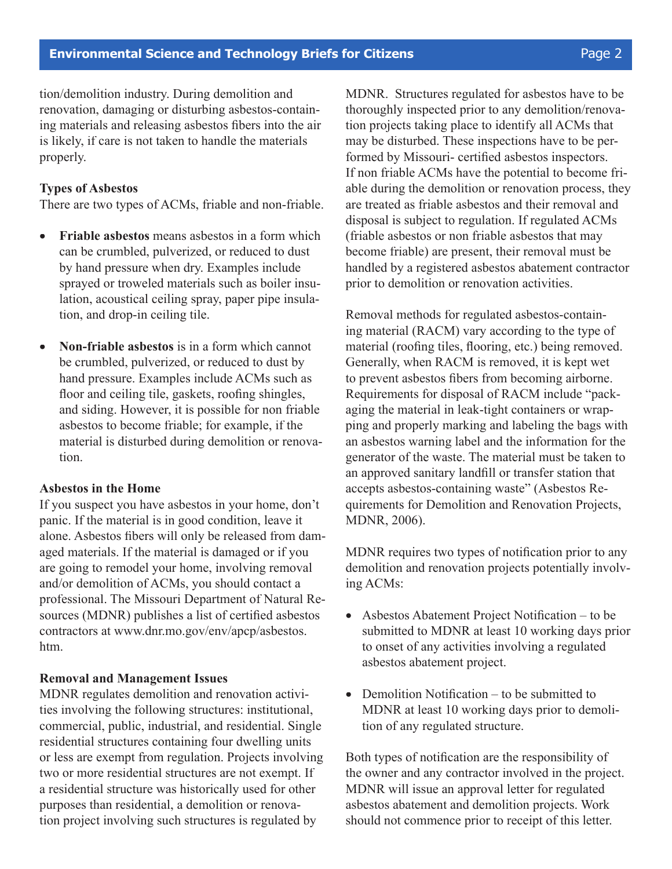## **Environmental Science and Technology Briefs for Citizens Page 2** Page 2

tion/demolition industry. During demolition and renovation, damaging or disturbing asbestos-containing materials and releasing asbestos fibers into the air is likely, if care is not taken to handle the materials properly.

#### **Types of Asbestos**

There are two types of ACMs, friable and non-friable.

- **Friable asbestos** means asbestos in a form which can be crumbled, pulverized, or reduced to dust by hand pressure when dry. Examples include sprayed or troweled materials such as boiler insulation, acoustical ceiling spray, paper pipe insulation, and drop-in ceiling tile.
- **Non-friable asbestos** is in a form which cannot be crumbled, pulverized, or reduced to dust by hand pressure. Examples include ACMs such as floor and ceiling tile, gaskets, roofing shingles, and siding. However, it is possible for non friable asbestos to become friable; for example, if the material is disturbed during demolition or renovation.

#### **Asbestos in the Home**

If you suspect you have asbestos in your home, don't panic. If the material is in good condition, leave it alone. Asbestos fibers will only be released from damaged materials. If the material is damaged or if you are going to remodel your home, involving removal and/or demolition of ACMs, you should contact a professional. The Missouri Department of Natural Resources (MDNR) publishes a list of certified asbestos contractors at www.dnr.mo.gov/env/apcp/asbestos. htm.

#### **Removal and Management Issues**

MDNR regulates demolition and renovation activities involving the following structures: institutional, commercial, public, industrial, and residential. Single residential structures containing four dwelling units or less are exempt from regulation. Projects involving two or more residential structures are not exempt. If a residential structure was historically used for other purposes than residential, a demolition or renovation project involving such structures is regulated by

MDNR. Structures regulated for asbestos have to be thoroughly inspected prior to any demolition/renovation projects taking place to identify all ACMs that may be disturbed. These inspections have to be performed by Missouri- certified asbestos inspectors. If non friable ACMs have the potential to become friable during the demolition or renovation process, they are treated as friable asbestos and their removal and disposal is subject to regulation. If regulated ACMs (friable asbestos or non friable asbestos that may become friable) are present, their removal must be handled by a registered asbestos abatement contractor prior to demolition or renovation activities.

Removal methods for regulated asbestos-containing material (RACM) vary according to the type of material (roofing tiles, flooring, etc.) being removed. Generally, when RACM is removed, it is kept wet to prevent asbestos fibers from becoming airborne. Requirements for disposal of RACM include "packaging the material in leak-tight containers or wrapping and properly marking and labeling the bags with an asbestos warning label and the information for the generator of the waste. The material must be taken to an approved sanitary landfill or transfer station that accepts asbestos-containing waste" (Asbestos Requirements for Demolition and Renovation Projects, MDNR, 2006).

MDNR requires two types of notification prior to any demolition and renovation projects potentially involving ACMs:

- Asbestos Abatement Project Notification to be submitted to MDNR at least 10 working days prior to onset of any activities involving a regulated asbestos abatement project.
- Demolition Notification  $-$  to be submitted to MDNR at least 10 working days prior to demolition of any regulated structure.

Both types of notification are the responsibility of the owner and any contractor involved in the project. MDNR will issue an approval letter for regulated asbestos abatement and demolition projects. Work should not commence prior to receipt of this letter.